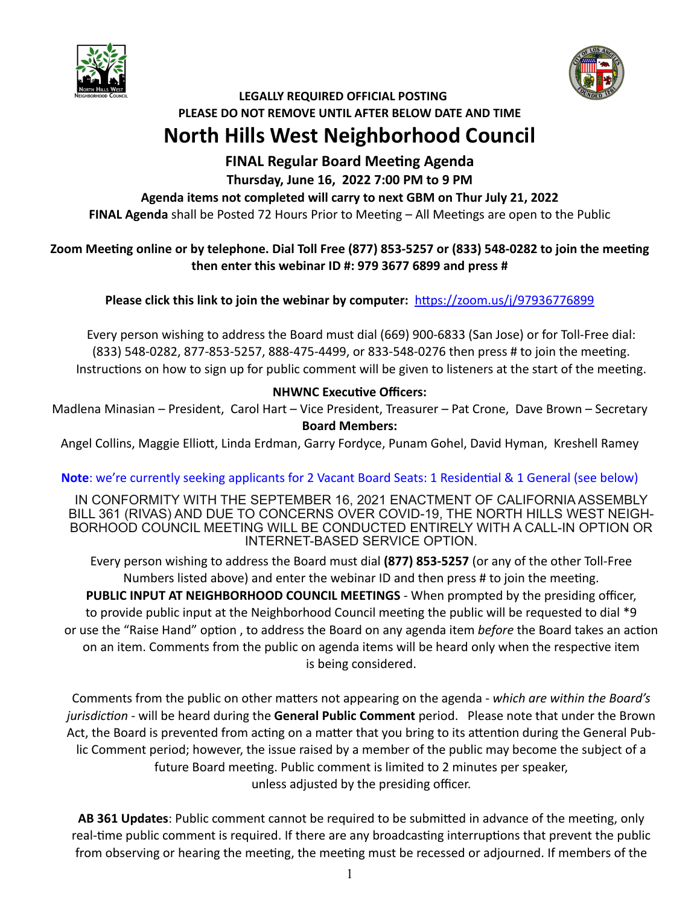



# **LEGALLY REQUIRED OFFICIAL POSTING PLEASE DO NOT REMOVE UNTIL AFTER BELOW DATE AND TIME North Hills West Neighborhood Council**

# **FINAL Regular Board Meeting Agenda**

## **Thursday, June 16, 2022 7:00 PM to 9 PM**

## **Agenda items not completed will carry to next GBM on Thur July 21, 2022**

**FINAL Agenda** shall be Posted 72 Hours Prior to Meeting – All Meetings are open to the Public

## Zoom Meeting online or by telephone. Dial Toll Free (877) 853-5257 or (833) 548-0282 to join the meeting **then enter this webinar ID #: 979 3677 6899 and press #**

**Please click this link to join the webinar by computer:** [h:ps://zoom.us/j/97936776899](https://zoom.us/j/97936776899) 

Every person wishing to address the Board must dial (669) 900-6833 (San Jose) or for Toll-Free dial: (833) 548-0282, 877-853-5257, 888-475-4499, or 833-548-0276 then press # to join the meeting. Instructions on how to sign up for public comment will be given to listeners at the start of the meeting.

# **NHWNC Executive Officers:**

Madlena Minasian – President, Carol Hart – Vice President, Treasurer – Pat Crone, Dave Brown – Secretary **Board Members:** 

Angel Collins, Maggie Elliott, Linda Erdman, Garry Fordyce, Punam Gohel, David Hyman, Kreshell Ramey

# **Note**: we're currently seeking applicants for 2 Vacant Board Seats: 1 Residential & 1 General (see below)

IN CONFORMITY WITH THE SEPTEMBER 16, 2021 ENACTMENT OF CALIFORNIA ASSEMBLY BILL 361 (RIVAS) AND DUE TO CONCERNS OVER COVID-19, THE NORTH HILLS WEST NEIGH-BORHOOD COUNCIL MEETING WILL BE CONDUCTED ENTIRELY WITH A CALL-IN OPTION OR INTERNET-BASED SERVICE OPTION.

Every person wishing to address the Board must dial **(877) 853-5257** (or any of the other Toll-Free Numbers listed above) and enter the webinar ID and then press # to join the meeting. **PUBLIC INPUT AT NEIGHBORHOOD COUNCIL MEETINGS** - When prompted by the presiding officer, to provide public input at the Neighborhood Council meeting the public will be requested to dial \*9 or use the "Raise Hand" option, to address the Board on any agenda item *before* the Board takes an action on an item. Comments from the public on agenda items will be heard only when the respective item is being considered.

Comments from the public on other matters not appearing on the agenda - which are within the Board's *jurisdiction* - will be heard during the **General Public Comment** period. Please note that under the Brown Act, the Board is prevented from acting on a matter that you bring to its attention during the General Public Comment period; however, the issue raised by a member of the public may become the subject of a future Board meeting. Public comment is limited to 2 minutes per speaker, unless adjusted by the presiding officer.

**AB 361 Updates:** Public comment cannot be required to be submitted in advance of the meeting, only real-time public comment is required. If there are any broadcasting interruptions that prevent the public from observing or hearing the meeting, the meeting must be recessed or adjourned. If members of the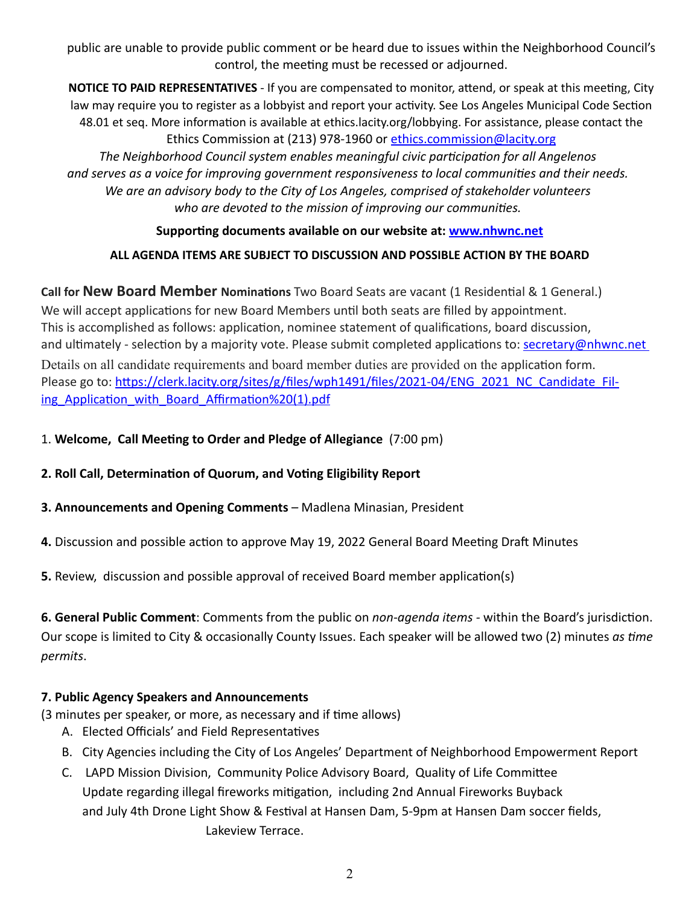public are unable to provide public comment or be heard due to issues within the Neighborhood Council's control, the meeting must be recessed or adjourned.

**NOTICE TO PAID REPRESENTATIVES** - If you are compensated to monitor, attend, or speak at this meeting, City law may require you to register as a lobbyist and report your activity. See Los Angeles Municipal Code Section 48.01 et seq. More information is available at ethics.lacity.org/lobbying. For assistance, please contact the Ethics Commission at (213) 978-1960 or [ethics.commission@lacity.org](mailto:ethics.commission@lacity.org) The Neighborhood Council system enables meaningful civic participation for all Angelenos and serves as a voice for improving government responsiveness to local communities and their needs. *We are an advisory body to the City of Los Angeles, comprised of stakeholder volunteers*  who are devoted to the mission of improving our communities.

#### Supporting documents available on our website at: **[www.nhwnc.net](http://www.nhwnc.net)**

#### **ALL AGENDA ITEMS ARE SUBJECT TO DISCUSSION AND POSSIBLE ACTION BY THE BOARD**

**Call for New Board Member Nominations** Two Board Seats are vacant (1 Residential & 1 General.) We will accept applications for new Board Members until both seats are filled by appointment. This is accomplished as follows: application, nominee statement of qualifications, board discussion, and ultimately - selection by a majority vote. Please submit completed applications to: [secretary@nhwnc.net](mailto:secretary@nhwnc.net) Details on all candidate requirements and board member duties are provided on the application form. Please go to: https://clerk.lacity.org/sites/g/files/wph1491/files/2021-04/ENG\_2021\_NC\_Candidate\_Filing Application with Board Affirmation%20(1).pdf

1. Welcome, Call Meeting to Order and Pledge of Allegiance (7:00 pm)

**2. Roll Call, Determination of Quorum, and Voting Eligibility Report** 

- **3. Announcements and Opening Comments** Madlena Minasian, President
- **4.** Discussion and possible action to approve May 19, 2022 General Board Meeting Draft Minutes

**5.** Review, discussion and possible approval of received Board member application(s)

**6. General Public Comment**: Comments from the public on *non-agenda items -* within the Board's jurisdiction. Our scope is limited to City & occasionally County Issues. Each speaker will be allowed two (2) minutes *as 4me permits*.

#### **7. Public Agency Speakers and Announcements**

(3 minutes per speaker, or more, as necessary and if time allows)

- A. Elected Officials' and Field Representatives
- B. City Agencies including the City of Los Angeles' Department of Neighborhood Empowerment Report
- C. LAPD Mission Division, Community Police Advisory Board, Quality of Life Committee Update regarding illegal fireworks mitigation, including 2nd Annual Fireworks Buyback and July 4th Drone Light Show & Festival at Hansen Dam, 5-9pm at Hansen Dam soccer fields, Lakeview Terrace.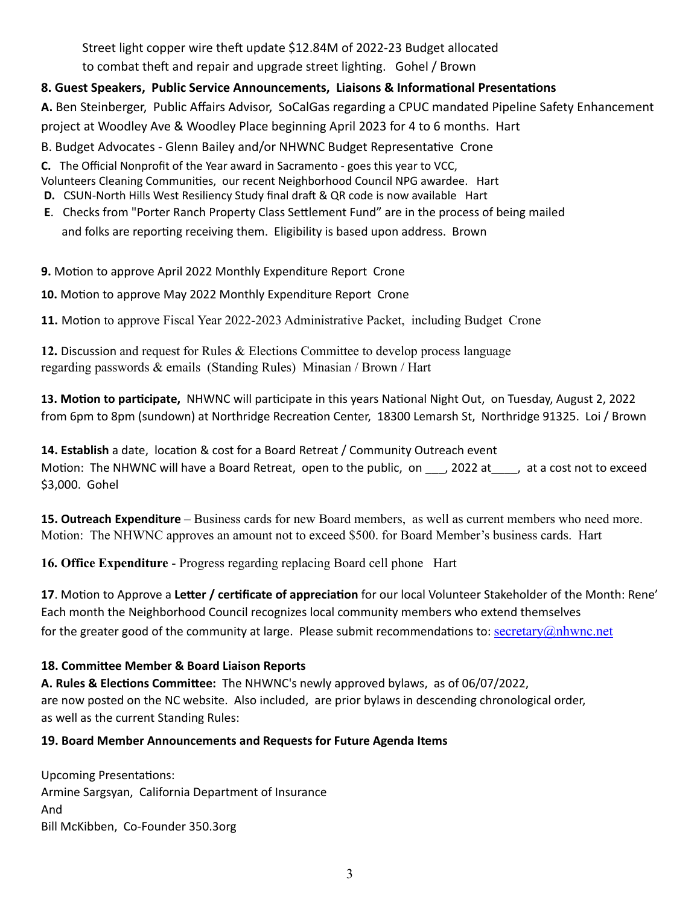Street light copper wire theft update \$12.84M of 2022-23 Budget allocated to combat theft and repair and upgrade street lighting. Gohel / Brown

## 8. Guest Speakers, Public Service Announcements, Liaisons & Informational Presentations

**A.** Ben Steinberger, Public Affairs Advisor, SoCalGas regarding a CPUC mandated Pipeline Safety Enhancement project at Woodley Ave & Woodley Place beginning April 2023 for 4 to 6 months. Hart

B. Budget Advocates - Glenn Bailey and/or NHWNC Budget Representative Crone

**C.** The Official Nonprofit of the Year award in Sacramento - goes this year to VCC,

- Volunteers Cleaning Communities, our recent Neighborhood Council NPG awardee. Hart
- **D.** CSUN-North Hills West Resiliency Study final draft & QR code is now available Hart
- **E.** Checks from "Porter Ranch Property Class Settlement Fund" are in the process of being mailed and folks are reporting receiving them. Eligibility is based upon address. Brown

#### **9.** Motion to approve April 2022 Monthly Expenditure Report Crone

10. Motion to approve May 2022 Monthly Expenditure Report Crone

**11.** Motion to approve Fiscal Year 2022-2023 Administrative Packet, including Budget Crone

**12.** Discussion and request for Rules & Elections Committee to develop process language regarding passwords & emails (Standing Rules) Minasian / Brown / Hart

13. Motion to participate, NHWNC will participate in this years National Night Out, on Tuesday, August 2, 2022 from 6pm to 8pm (sundown) at Northridge Recreation Center, 18300 Lemarsh St, Northridge 91325. Loi / Brown

**14. Establish** a date, location & cost for a Board Retreat / Community Outreach event Motion: The NHWNC will have a Board Retreat, open to the public, on \_\_\_, 2022 at \_\_\_, at a cost not to exceed \$3,000. Gohel

**15. Outreach Expenditure** – Business cards for new Board members, as well as current members who need more. Motion: The NHWNC approves an amount not to exceed \$500. for Board Member's business cards. Hart

**16. Office Expenditure** - Progress regarding replacing Board cell phone Hart

**17**. Motion to Approve a Letter / certificate of appreciation for our local Volunteer Stakeholder of the Month: Rene' Each month the Neighborhood Council recognizes local community members who extend themselves for the greater good of the community at large. Please submit recommendations to: [secretary@nhwnc.net](mailto:secretary@nhwnc.net)

#### **18. Commifee Member & Board Liaison Reports**

**A. Rules & ElecGons Commifee:** The NHWNC's newly approved bylaws, as of 06/07/2022, are now posted on the NC website. Also included, are prior bylaws in descending chronological order, as well as the current Standing Rules:

#### **19. Board Member Announcements and Requests for Future Agenda Items**

Upcoming Presentations: Armine Sargsyan, California Department of Insurance And Bill McKibben, Co-Founder 350.3org